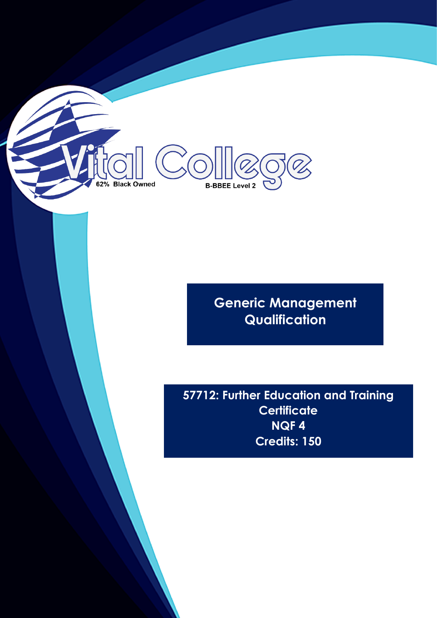

**Generic Management Qualification**

**57712: Further Education and Training Certificate NQF 4 Credits: 150**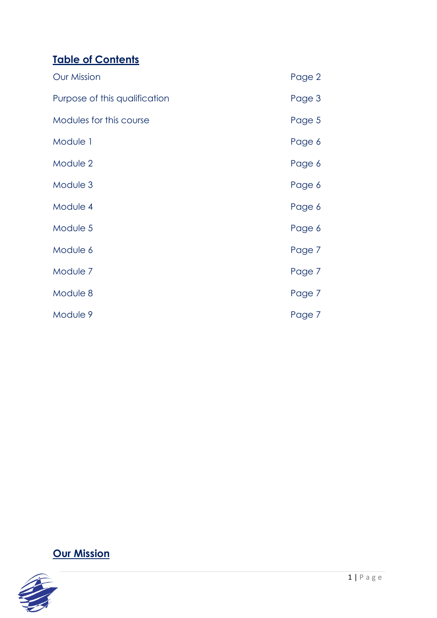# **Table of Contents**

| <b>Our Mission</b>            | Page 2 |
|-------------------------------|--------|
| Purpose of this qualification | Page 3 |
| Modules for this course       | Page 5 |
| Module 1                      | Page 6 |
| Module 2                      | Page 6 |
| Module 3                      | Page 6 |
| Module 4                      | Page 6 |
| Module 5                      | Page 6 |
| Module 6                      | Page 7 |
| Module 7                      | Page 7 |
| Module 8                      | Page 7 |
| Module 9                      | Page 7 |

# **Our Mission**

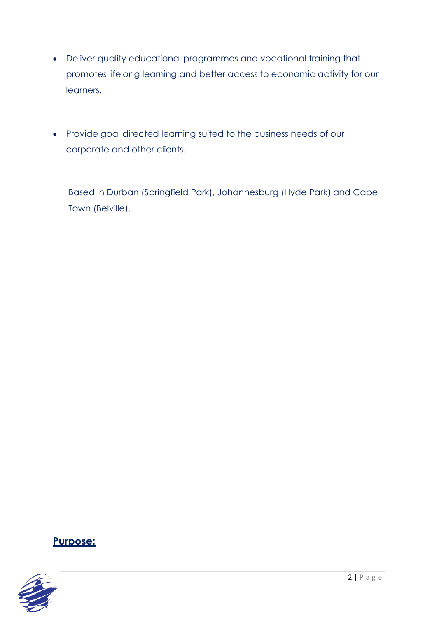- Deliver quality educational programmes and vocational training that promotes lifelong learning and better access to economic activity for our learners.
- Provide goal directed learning suited to the business needs of our corporate and other clients.

Based in Durban (Springfield Park), Johannesburg (Hyde Park) and Cape Town (Belville).



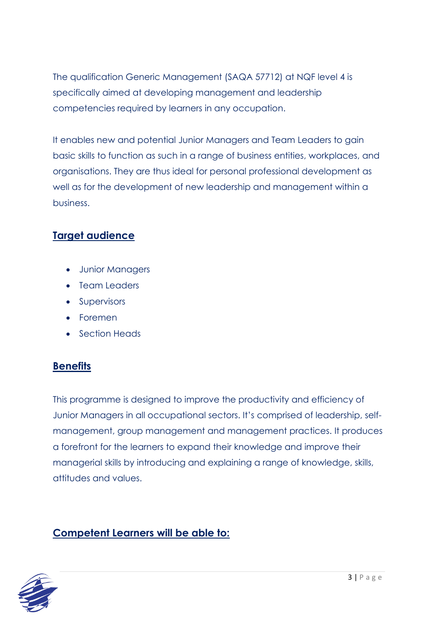The qualification Generic Management (SAQA 57712) at NQF level 4 is specifically aimed at developing management and leadership competencies required by learners in any occupation.

It enables new and potential Junior Managers and Team Leaders to gain basic skills to function as such in a range of business entities, workplaces, and organisations. They are thus ideal for personal professional development as well as for the development of new leadership and management within a business.

### **Target audience**

- Junior Managers
- Team Leaders
- Supervisors
- Foremen
- Section Heads

#### **Benefits**

This programme is designed to improve the productivity and efficiency of Junior Managers in all occupational sectors. It's comprised of leadership, selfmanagement, group management and management practices. It produces a forefront for the learners to expand their knowledge and improve their managerial skills by introducing and explaining a range of knowledge, skills, attitudes and values.

# **Competent Learners will be able to:**

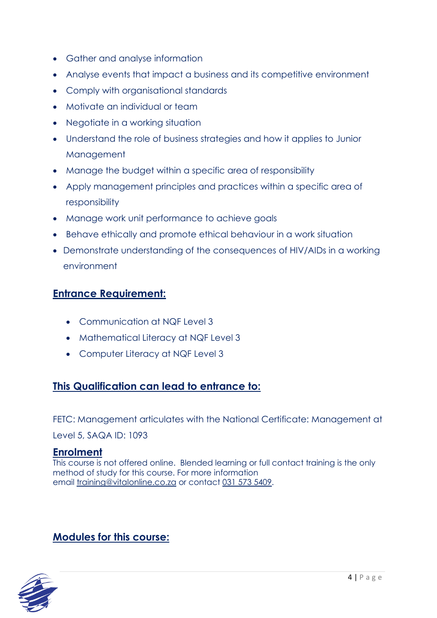- Gather and analyse information
- Analyse events that impact a business and its competitive environment
- Comply with organisational standards
- Motivate an individual or team
- Negotiate in a working situation
- Understand the role of business strategies and how it applies to Junior Management
- Manage the budget within a specific area of responsibility
- Apply management principles and practices within a specific area of responsibility
- Manage work unit performance to achieve goals
- Behave ethically and promote ethical behaviour in a work situation
- Demonstrate understanding of the consequences of HIV/AIDs in a working environment

#### **Entrance Requirement:**

- Communication at NQF Level 3
- Mathematical Literacy at NQF Level 3
- Computer Literacy at NQF Level 3

# **This Qualification can lead to entrance to:**

FETC: Management articulates with the National Certificate: Management at

Level 5, SAQA ID: 1093

#### **Enrolment**

This course is not offered online. Blended learning or full contact training is the only method of study for this course. For more information email [training@vitalonline.co.za](about:blank) or contact [031 573 5409.](about:blank)

#### **Modules for this course:**

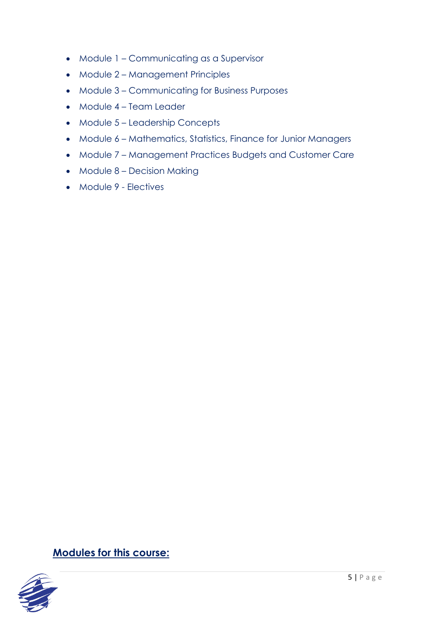- Module 1 Communicating as a Supervisor
- Module 2 Management Principles
- Module 3 Communicating for Business Purposes
- Module 4 Team Leader
- Module 5 Leadership Concepts
- Module 6 Mathematics, Statistics, Finance for Junior Managers
- Module 7 Management Practices Budgets and Customer Care
- Module 8 Decision Making
- Module 9 Electives

**Modules for this course:**

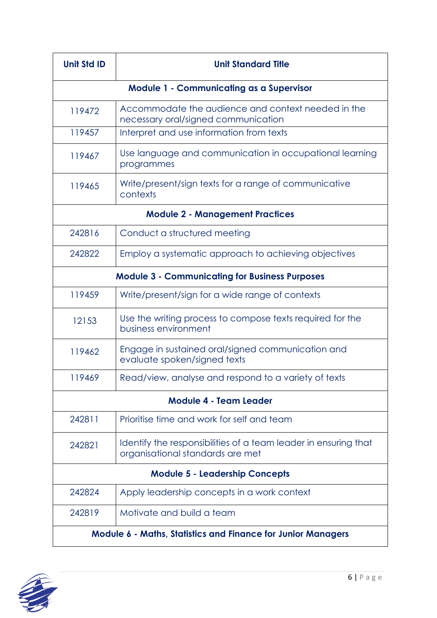| <b>Unit Std ID</b>                                    | <b>Unit Standard Title</b>                                                                          |  |  |
|-------------------------------------------------------|-----------------------------------------------------------------------------------------------------|--|--|
| <b>Module 1 - Communicating as a Supervisor</b>       |                                                                                                     |  |  |
| 119472                                                | Accommodate the audience and context needed in the<br>necessary oral/signed communication           |  |  |
| 119457                                                | Interpret and use information from texts                                                            |  |  |
| 119467                                                | Use language and communication in occupational learning<br>programmes                               |  |  |
| 119465                                                | Write/present/sign texts for a range of communicative<br>contexts                                   |  |  |
| <b>Module 2 - Management Practices</b>                |                                                                                                     |  |  |
| 242816                                                | Conduct a structured meeting                                                                        |  |  |
| 242822                                                | Employ a systematic approach to achieving objectives                                                |  |  |
| <b>Module 3 - Communicating for Business Purposes</b> |                                                                                                     |  |  |
| 119459                                                | Write/present/sign for a wide range of contexts                                                     |  |  |
| 12153                                                 | Use the writing process to compose texts required for the<br>business environment                   |  |  |
| 119462                                                | Engage in sustained oral/signed communication and<br>evaluate spoken/signed texts                   |  |  |
| 119469                                                | Read/view, analyse and respond to a variety of texts                                                |  |  |
| <b>Module 4 - Team Leader</b>                         |                                                                                                     |  |  |
| 242811                                                | Prioritise time and work for self and team                                                          |  |  |
| 242821                                                | Identify the responsibilities of a team leader in ensuring that<br>organisational standards are met |  |  |
| <b>Module 5 - Leadership Concepts</b>                 |                                                                                                     |  |  |
| 242824                                                | Apply leadership concepts in a work context                                                         |  |  |
| 242819                                                | Motivate and build a team                                                                           |  |  |
|                                                       | <b>Module 6 - Maths, Statistics and Finance for Junior Managers</b>                                 |  |  |

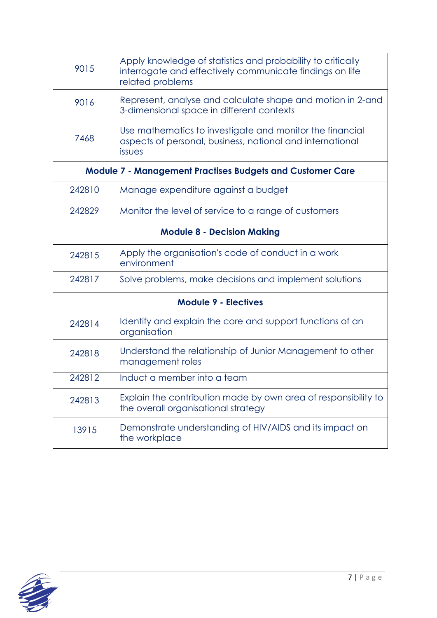| 9015                                                             | Apply knowledge of statistics and probability to critically<br>interrogate and effectively communicate findings on life<br>related problems |  |
|------------------------------------------------------------------|---------------------------------------------------------------------------------------------------------------------------------------------|--|
| 9016                                                             | Represent, analyse and calculate shape and motion in 2-and<br>3-dimensional space in different contexts                                     |  |
| 7468                                                             | Use mathematics to investigate and monitor the financial<br>aspects of personal, business, national and international<br>issues             |  |
| <b>Module 7 - Management Practises Budgets and Customer Care</b> |                                                                                                                                             |  |
| 242810                                                           | Manage expenditure against a budget                                                                                                         |  |
| 242829                                                           | Monitor the level of service to a range of customers                                                                                        |  |
| <b>Module 8 - Decision Making</b>                                |                                                                                                                                             |  |
| 242815                                                           | Apply the organisation's code of conduct in a work<br>environment                                                                           |  |
| 242817                                                           | Solve problems, make decisions and implement solutions                                                                                      |  |
| <b>Module 9 - Electives</b>                                      |                                                                                                                                             |  |
| 242814                                                           | Identify and explain the core and support functions of an<br>organisation                                                                   |  |
| 242818                                                           | Understand the relationship of Junior Management to other<br>management roles                                                               |  |
| 242812                                                           | Induct a member into a team                                                                                                                 |  |
| 242813                                                           | Explain the contribution made by own area of responsibility to<br>the overall organisational strategy                                       |  |
| 13915                                                            | Demonstrate understanding of HIV/AIDS and its impact on<br>the workplace                                                                    |  |